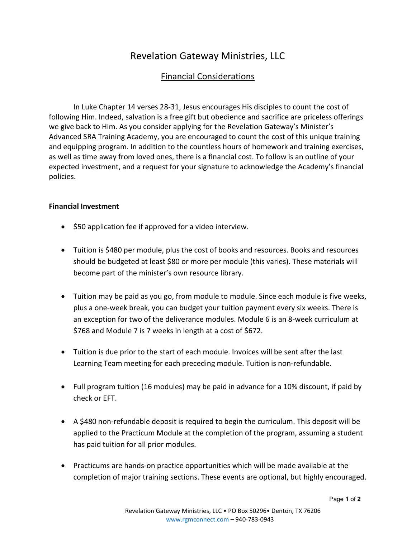## Revelation Gateway Ministries, LLC

## Financial Considerations

 In Luke Chapter 14 verses 28-31, Jesus encourages His disciples to count the cost of following Him. Indeed, salvation is a free gift but obedience and sacrifice are priceless offerings we give back to Him. As you consider applying for the Revelation Gateway's Minister's Advanced SRA Training Academy, you are encouraged to count the cost of this unique training and equipping program. In addition to the countless hours of homework and training exercises, as well as time away from loved ones, there is a financial cost. To follow is an outline of your expected investment, and a request for your signature to acknowledge the Academy's financial policies.

## Financial Investment

- \$50 application fee if approved for a video interview.
- Tuition is \$480 per module, plus the cost of books and resources. Books and resources should be budgeted at least \$80 or more per module (this varies). These materials will become part of the minister's own resource library.
- Tuition may be paid as you go, from module to module. Since each module is five weeks, plus a one-week break, you can budget your tuition payment every six weeks. There is an exception for two of the deliverance modules. Module 6 is an 8-week curriculum at \$768 and Module 7 is 7 weeks in length at a cost of \$672.
- Tuition is due prior to the start of each module. Invoices will be sent after the last Learning Team meeting for each preceding module. Tuition is non-refundable.
- Full program tuition (16 modules) may be paid in advance for a 10% discount, if paid by check or EFT.
- A \$480 non-refundable deposit is required to begin the curriculum. This deposit will be applied to the Practicum Module at the completion of the program, assuming a student has paid tuition for all prior modules.
- Practicums are hands-on practice opportunities which will be made available at the completion of major training sections. These events are optional, but highly encouraged.